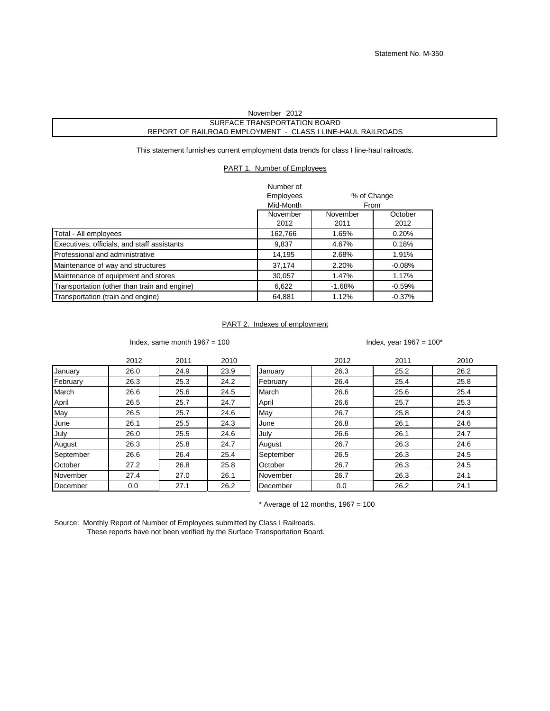## SURFACE TRANSPORTATION BOARD REPORT OF RAILROAD EMPLOYMENT - CLASS I LINE-HAUL RAILROADS November 2012

This statement furnishes current employment data trends for class I line-haul railroads.

## PART 1. Number of Employees

|                                              | Number of        |             |          |
|----------------------------------------------|------------------|-------------|----------|
|                                              | <b>Employees</b> | % of Change |          |
|                                              | Mid-Month        | From        |          |
|                                              | November         | November    | October  |
|                                              | 2012             | 2011        | 2012     |
| Total - All employees                        | 162,766          | 1.65%       | 0.20%    |
| Executives, officials, and staff assistants  | 9,837            | 4.67%       | 0.18%    |
| Professional and administrative              | 14,195           | 2.68%       | 1.91%    |
| Maintenance of way and structures            | 37,174           | 2.20%       | $-0.08%$ |
| Maintenance of equipment and stores          | 30,057           | 1.47%       | 1.17%    |
| Transportation (other than train and engine) | 6,622            | $-1.68%$    | $-0.59%$ |
| Transportation (train and engine)            | 64,881           | 1.12%       | $-0.37%$ |

## PART 2. Indexes of employment

Index, same month  $1967 = 100$  Index, year  $1967 = 100*$ 

|           | 2012 | 2011 | 2010 |           | 2012 | 2011 | 2010 |
|-----------|------|------|------|-----------|------|------|------|
| January   | 26.0 | 24.9 | 23.9 | January   | 26.3 | 25.2 | 26.2 |
| February  | 26.3 | 25.3 | 24.2 | February  | 26.4 | 25.4 | 25.8 |
| March     | 26.6 | 25.6 | 24.5 | March     | 26.6 | 25.6 | 25.4 |
| April     | 26.5 | 25.7 | 24.7 | April     | 26.6 | 25.7 | 25.3 |
| May       | 26.5 | 25.7 | 24.6 | May       | 26.7 | 25.8 | 24.9 |
| June      | 26.1 | 25.5 | 24.3 | June      | 26.8 | 26.1 | 24.6 |
| July      | 26.0 | 25.5 | 24.6 | July      | 26.6 | 26.1 | 24.7 |
| August    | 26.3 | 25.8 | 24.7 | August    | 26.7 | 26.3 | 24.6 |
| September | 26.6 | 26.4 | 25.4 | September | 26.5 | 26.3 | 24.5 |
| October   | 27.2 | 26.8 | 25.8 | October   | 26.7 | 26.3 | 24.5 |
| November  | 27.4 | 27.0 | 26.1 | November  | 26.7 | 26.3 | 24.1 |
| December  | 0.0  | 27.1 | 26.2 | December  | 0.0  | 26.2 | 24.1 |

 $*$  Average of 12 months, 1967 = 100

Source: Monthly Report of Number of Employees submitted by Class I Railroads. These reports have not been verified by the Surface Transportation Board.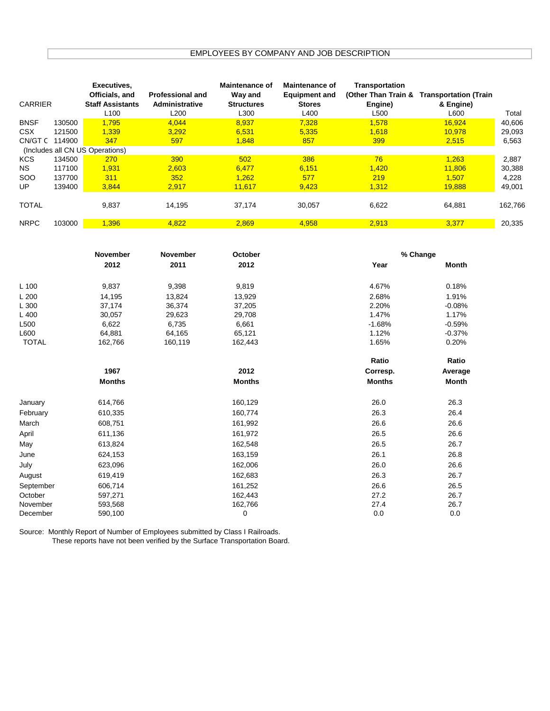## EMPLOYEES BY COMPANY AND JOB DESCRIPTION

| <b>CARRIER</b>                  |        | Executives,<br>Officials, and<br><b>Staff Assistants</b> | <b>Professional and</b><br>Administrative | <b>Maintenance of</b><br>Way and<br><b>Structures</b> | <b>Maintenance of</b><br><b>Equipment and</b><br><b>Stores</b> | Transportation<br>(Other Than Train &<br>Engine) | <b>Transportation (Train</b><br>& Engine) |         |
|---------------------------------|--------|----------------------------------------------------------|-------------------------------------------|-------------------------------------------------------|----------------------------------------------------------------|--------------------------------------------------|-------------------------------------------|---------|
|                                 |        | L <sub>100</sub>                                         | L <sub>200</sub>                          | L300                                                  | L400                                                           | L <sub>500</sub>                                 | L600                                      | Total   |
| <b>BNSF</b>                     | 130500 | 1.795                                                    | 4,044                                     | 8,937                                                 | 7.328                                                          | 1.578                                            | 16.924                                    | 40,606  |
| <b>CSX</b>                      | 121500 | 1.339                                                    | 3.292                                     | 6.531                                                 | 5.335                                                          | 1,618                                            | 10.978                                    | 29,093  |
| CN/GT C                         | 114900 | 347                                                      | 597                                       | 1,848                                                 | 857                                                            | 399                                              | 2,515                                     | 6,563   |
| (Includes all CN US Operations) |        |                                                          |                                           |                                                       |                                                                |                                                  |                                           |         |
| <b>KCS</b>                      | 134500 | 270                                                      | 390                                       | 502                                                   | 386                                                            | 76                                               | 1.263                                     | 2,887   |
| NS.                             | 117100 | 1,931                                                    | 2,603                                     | 6,477                                                 | 6,151                                                          | 1,420                                            | 11,806                                    | 30,388  |
| <b>SOO</b>                      | 137700 | 311                                                      | 352                                       | 1.262                                                 | 577                                                            | 219                                              | 1.507                                     | 4,228   |
| UP                              | 139400 | 3.844                                                    | 2,917                                     | 11.617                                                | 9,423                                                          | 1.312                                            | 19.888                                    | 49,001  |
| <b>TOTAL</b>                    |        | 9,837                                                    | 14,195                                    | 37,174                                                | 30,057                                                         | 6,622                                            | 64,881                                    | 162,766 |
| <b>NRPC</b>                     | 103000 | .396                                                     | 4,822                                     | 2,869                                                 | 4,958                                                          | 2,913                                            | 3,377                                     | 20,335  |

|              | November      | November | October       | % Change      |          |
|--------------|---------------|----------|---------------|---------------|----------|
|              | 2012          | 2011     | 2012          | Year          | Month    |
| $L$ 100      | 9,837         | 9,398    | 9,819         | 4.67%         | 0.18%    |
| L200         | 14,195        | 13,824   | 13,929        | 2.68%         | 1.91%    |
| L 300        | 37,174        | 36,374   | 37,205        | 2.20%         | $-0.08%$ |
| L 400        | 30,057        | 29,623   | 29,708        | 1.47%         | 1.17%    |
| L500         | 6,622         | 6,735    | 6,661         | $-1.68%$      | $-0.59%$ |
| L600         | 64,881        | 64,165   | 65,121        | 1.12%         | $-0.37%$ |
| <b>TOTAL</b> | 162,766       | 160,119  | 162,443       | 1.65%         | 0.20%    |
|              |               |          |               | Ratio         | Ratio    |
|              | 1967          |          | 2012          | Corresp.      | Average  |
|              | <b>Months</b> |          | <b>Months</b> | <b>Months</b> | Month    |
| January      | 614,766       |          | 160,129       | 26.0          | 26.3     |
| February     | 610,335       |          | 160,774       | 26.3          | 26.4     |
| March        | 608,751       |          | 161,992       | 26.6          | 26.6     |
| April        | 611,136       |          | 161,972       | 26.5          | 26.6     |
| May          | 613,824       |          | 162,548       | 26.5          | 26.7     |
| June         | 624,153       |          | 163,159       | 26.1          | 26.8     |
| July         | 623,096       |          | 162,006       | 26.0          | 26.6     |
| August       | 619,419       |          | 162,683       | 26.3          | 26.7     |
| September    | 606,714       |          | 161,252       | 26.6          | 26.5     |
| October      | 597,271       |          | 162,443       | 27.2          | 26.7     |
| November     | 593,568       |          | 162,766       | 27.4          | 26.7     |
| December     | 590,100       |          | 0             | 0.0           | 0.0      |

Source: Monthly Report of Number of Employees submitted by Class I Railroads. These reports have not been verified by the Surface Transportation Board.